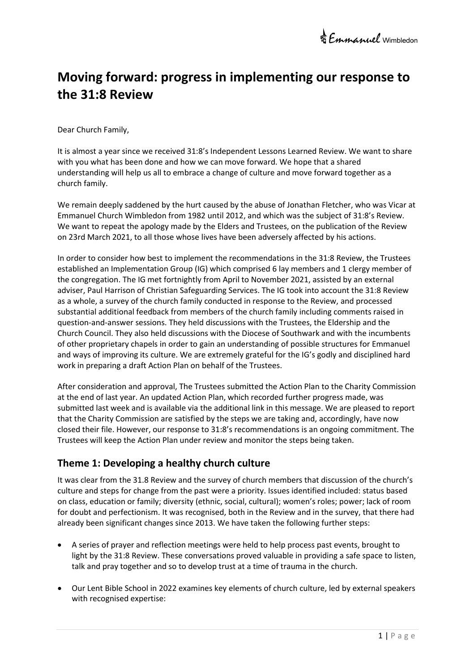# **Moving forward: progress in implementing our response to the 31:8 Review**

Dear Church Family,

It is almost a year since we received 31:8's Independent Lessons Learned Review. We want to share with you what has been done and how we can move forward. We hope that a shared understanding will help us all to embrace a change of culture and move forward together as a church family.

We remain deeply saddened by the hurt caused by the abuse of Jonathan Fletcher, who was Vicar at Emmanuel Church Wimbledon from 1982 until 2012, and which was the subject of 31:8's Review. We want to repeat the apology made by the Elders and Trustees, on the publication of the Review on 23rd March 2021, to all those whose lives have been adversely affected by his actions.

In order to consider how best to implement the recommendations in the 31:8 Review, the Trustees established an Implementation Group (IG) which comprised 6 lay members and 1 clergy member of the congregation. The IG met fortnightly from April to November 2021, assisted by an external adviser, Paul Harrison of Christian Safeguarding Services. The IG took into account the 31:8 Review as a whole, a survey of the church family conducted in response to the Review, and processed substantial additional feedback from members of the church family including comments raised in question-and-answer sessions. They held discussions with the Trustees, the Eldership and the Church Council. They also held discussions with the Diocese of Southwark and with the incumbents of other proprietary chapels in order to gain an understanding of possible structures for Emmanuel and ways of improving its culture. We are extremely grateful for the IG's godly and disciplined hard work in preparing a draft Action Plan on behalf of the Trustees.

After consideration and approval, The Trustees submitted the Action Plan to the Charity Commission at the end of last year. An updated Action Plan, which recorded further progress made, was submitted last week and is available via the additional link in this message. We are pleased to report that the Charity Commission are satisfied by the steps we are taking and, accordingly, have now closed their file. However, our response to 31:8's recommendations is an ongoing commitment. The Trustees will keep the Action Plan under review and monitor the steps being taken.

# **Theme 1: Developing a healthy church culture**

It was clear from the 31.8 Review and the survey of church members that discussion of the church's culture and steps for change from the past were a priority. Issues identified included: status based on class, education or family; diversity (ethnic, social, cultural); women's roles; power; lack of room for doubt and perfectionism. It was recognised, both in the Review and in the survey, that there had already been significant changes since 2013. We have taken the following further steps:

- A series of prayer and reflection meetings were held to help process past events, brought to light by the 31:8 Review. These conversations proved valuable in providing a safe space to listen, talk and pray together and so to develop trust at a time of trauma in the church.
- Our Lent Bible School in 2022 examines key elements of church culture, led by external speakers with recognised expertise: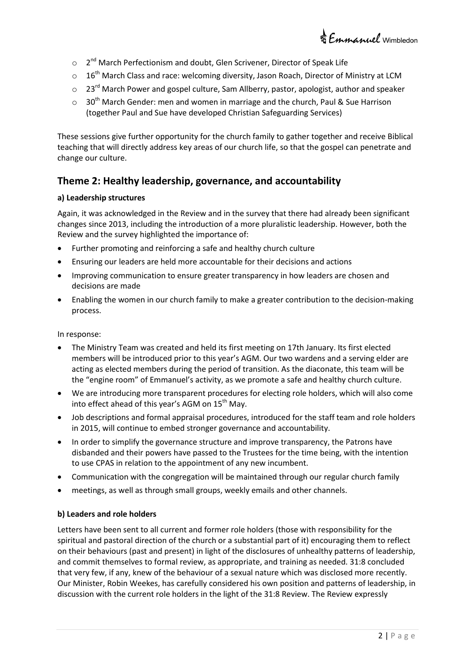

- $\circ$ 2<sup>nd</sup> March Perfectionism and doubt, Glen Scrivener, Director of Speak Life
- $\circ$  16<sup>th</sup> March Class and race: welcoming diversity, Jason Roach, Director of Ministry at LCM
- $\circ$  23<sup>rd</sup> March Power and gospel culture, Sam Allberry, pastor, apologist, author and speaker
- $\circ$  30<sup>th</sup> March Gender: men and women in marriage and the church, Paul & Sue Harrison (together Paul and Sue have developed Christian Safeguarding Services)

These sessions give further opportunity for the church family to gather together and receive Biblical teaching that will directly address key areas of our church life, so that the gospel can penetrate and change our culture.

### **Theme 2: Healthy leadership, governance, and accountability**

#### **a) Leadership structures**

Again, it was acknowledged in the Review and in the survey that there had already been significant changes since 2013, including the introduction of a more pluralistic leadership. However, both the Review and the survey highlighted the importance of:

- Further promoting and reinforcing a safe and healthy church culture
- Ensuring our leaders are held more accountable for their decisions and actions
- Improving communication to ensure greater transparency in how leaders are chosen and decisions are made
- Enabling the women in our church family to make a greater contribution to the decision-making process.

In response:

- The Ministry Team was created and held its first meeting on 17th January. Its first elected members will be introduced prior to this year's AGM. Our two wardens and a serving elder are acting as elected members during the period of transition. As the diaconate, this team will be the "engine room" of Emmanuel's activity, as we promote a safe and healthy church culture.
- We are introducing more transparent procedures for electing role holders, which will also come into effect ahead of this year's AGM on  $15<sup>th</sup>$  May.
- Job descriptions and formal appraisal procedures, introduced for the staff team and role holders in 2015, will continue to embed stronger governance and accountability.
- In order to simplify the governance structure and improve transparency, the Patrons have disbanded and their powers have passed to the Trustees for the time being, with the intention to use CPAS in relation to the appointment of any new incumbent.
- Communication with the congregation will be maintained through our regular church family
- meetings, as well as through small groups, weekly emails and other channels.

#### **b) Leaders and role holders**

Letters have been sent to all current and former role holders (those with responsibility for the spiritual and pastoral direction of the church or a substantial part of it) encouraging them to reflect on their behaviours (past and present) in light of the disclosures of unhealthy patterns of leadership, and commit themselves to formal review, as appropriate, and training as needed. 31:8 concluded that very few, if any, knew of the behaviour of a sexual nature which was disclosed more recently. Our Minister, Robin Weekes, has carefully considered his own position and patterns of leadership, in discussion with the current role holders in the light of the 31:8 Review. The Review expressly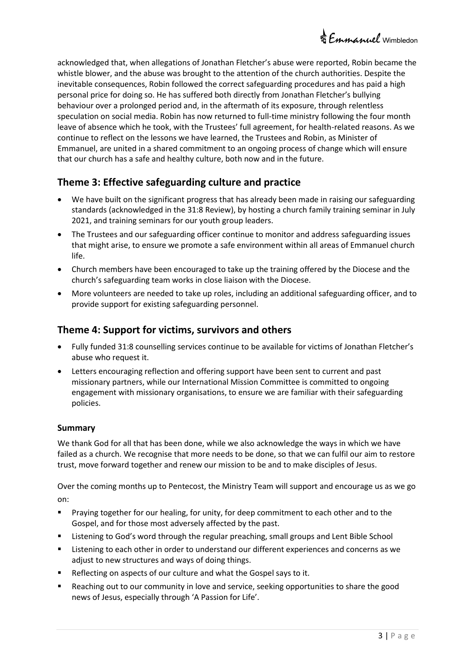acknowledged that, when allegations of Jonathan Fletcher's abuse were reported, Robin became the whistle blower, and the abuse was brought to the attention of the church authorities. Despite the inevitable consequences, Robin followed the correct safeguarding procedures and has paid a high personal price for doing so. He has suffered both directly from Jonathan Fletcher's bullying behaviour over a prolonged period and, in the aftermath of its exposure, through relentless speculation on social media. Robin has now returned to full-time ministry following the four month leave of absence which he took, with the Trustees' full agreement, for health-related reasons. As we continue to reflect on the lessons we have learned, the Trustees and Robin, as Minister of Emmanuel, are united in a shared commitment to an ongoing process of change which will ensure that our church has a safe and healthy culture, both now and in the future.

# **Theme 3: Effective safeguarding culture and practice**

- We have built on the significant progress that has already been made in raising our safeguarding standards (acknowledged in the 31:8 Review), by hosting a church family training seminar in July 2021, and training seminars for our youth group leaders.
- The Trustees and our safeguarding officer continue to monitor and address safeguarding issues that might arise, to ensure we promote a safe environment within all areas of Emmanuel church life.
- Church members have been encouraged to take up the training offered by the Diocese and the church's safeguarding team works in close liaison with the Diocese.
- More volunteers are needed to take up roles, including an additional safeguarding officer, and to provide support for existing safeguarding personnel.

## **Theme 4: Support for victims, survivors and others**

- Fully funded 31:8 counselling services continue to be available for victims of Jonathan Fletcher's abuse who request it.
- Letters encouraging reflection and offering support have been sent to current and past missionary partners, while our International Mission Committee is committed to ongoing engagement with missionary organisations, to ensure we are familiar with their safeguarding policies.

### **Summary**

We thank God for all that has been done, while we also acknowledge the ways in which we have failed as a church. We recognise that more needs to be done, so that we can fulfil our aim to restore trust, move forward together and renew our mission to be and to make disciples of Jesus.

Over the coming months up to Pentecost, the Ministry Team will support and encourage us as we go on:

- Praying together for our healing, for unity, for deep commitment to each other and to the Gospel, and for those most adversely affected by the past.
- Listening to God's word through the regular preaching, small groups and Lent Bible School
- Listening to each other in order to understand our different experiences and concerns as we adjust to new structures and ways of doing things.
- Reflecting on aspects of our culture and what the Gospel says to it.
- Reaching out to our community in love and service, seeking opportunities to share the good news of Jesus, especially through 'A Passion for Life'.